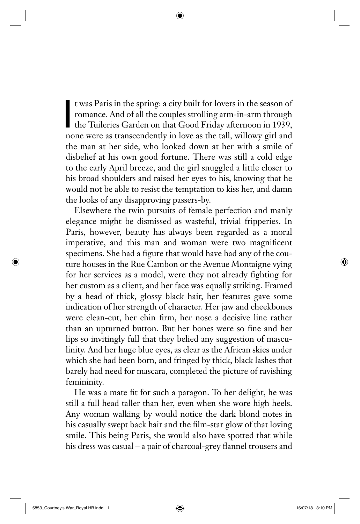**I** t was Paris in the spring: a city built for lovers in the season of romance. And of all the couples strolling arm-in-arm through the Tuileries Garden on that Good Friday afternoon in 1939, none were as transcendently in love as the tall, willowy girl and the man at her side, who looked down at her with a smile of disbelief at his own good fortune. There was still a cold edge to the early April breeze, and the girl snuggled a little closer to his broad shoulders and raised her eyes to his, knowing that he would not be able to resist the temptation to kiss her, and damn the looks of any disapproving passers-by.

⊕

Elsewhere the twin pursuits of female perfection and manly elegance might be dismissed as wasteful, trivial fripperies. In Paris, however, beauty has always been regarded as a moral imperative, and this man and woman were two magnificent specimens. She had a figure that would have had any of the couture houses in the Rue Cambon or the Avenue Montaigne vying for her services as a model, were they not already fighting for her custom as a client, and her face was equally striking. Framed by a head of thick, glossy black hair, her features gave some indication of her strength of character. Her jaw and cheekbones were clean-cut, her chin firm, her nose a decisive line rather than an upturned button. But her bones were so fine and her lips so invitingly full that they belied any suggestion of masculinity. And her huge blue eyes, as clear as the African skies under which she had been born, and fringed by thick, black lashes that barely had need for mascara, completed the picture of ravishing femininity.

He was a mate fit for such a paragon. To her delight, he was still a full head taller than her, even when she wore high heels. Any woman walking by would notice the dark blond notes in his casually swept back hair and the film-star glow of that loving smile. This being Paris, she would also have spotted that while his dress was casual – a pair of charcoal-grey flannel trousers and

⊕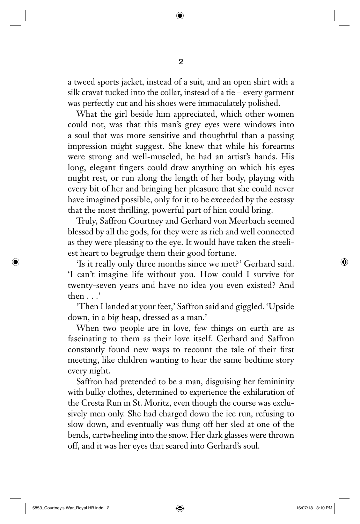a tweed sports jacket, instead of a suit, and an open shirt with a silk cravat tucked into the collar, instead of a tie – every garment was perfectly cut and his shoes were immaculately polished.

What the girl beside him appreciated, which other women could not, was that this man's grey eyes were windows into a soul that was more sensitive and thoughtful than a passing impression might suggest. She knew that while his forearms were strong and well-muscled, he had an artist's hands. His long, elegant fingers could draw anything on which his eyes might rest, or run along the length of her body, playing with every bit of her and bringing her pleasure that she could never have imagined possible, only for it to be exceeded by the ecstasy that the most thrilling, powerful part of him could bring.

Truly, Saffron Courtney and Gerhard von Meerbach seemed blessed by all the gods, for they were as rich and well connected as they were pleasing to the eye. It would have taken the steeliest heart to begrudge them their good fortune.

'Is it really only three months since we met?' Gerhard said. 'I can't imagine life without you. How could I survive for twenty-seven years and have no idea you even existed? And then . . .'

'Then I landed at your feet,' Saffron said and giggled. 'Upside down, in a big heap, dressed as a man.'

When two people are in love, few things on earth are as fascinating to them as their love itself. Gerhard and Saffron constantly found new ways to recount the tale of their first meeting, like children wanting to hear the same bedtime story every night.

Saffron had pretended to be a man, disguising her femininity with bulky clothes, determined to experience the exhilaration of the Cresta Run in St. Moritz, even though the course was exclusively men only. She had charged down the ice run, refusing to slow down, and eventually was flung off her sled at one of the bends, cartwheeling into the snow. Her dark glasses were thrown off, and it was her eyes that seared into Gerhard's soul.

**2**

◈

⊕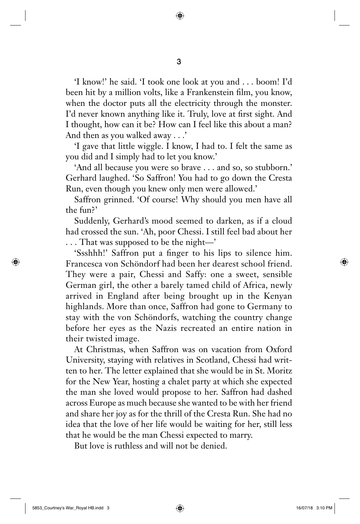'I know!' he said. 'I took one look at you and . . . boom! I'd been hit by a million volts, like a Frankenstein film, you know, when the doctor puts all the electricity through the monster. I'd never known anything like it. Truly, love at first sight. And I thought, how can it be? How can I feel like this about a man? And then as you walked away . . .'

'I gave that little wiggle. I know, I had to. I felt the same as you did and I simply had to let you know.'

'And all because you were so brave . . . and so, so stubborn.' Gerhard laughed. 'So Saffron! You had to go down the Cresta Run, even though you knew only men were allowed.'

Saffron grinned. 'Of course! Why should you men have all the fun?'

Suddenly, Gerhard's mood seemed to darken, as if a cloud had crossed the sun. 'Ah, poor Chessi. I still feel bad about her . . . That was supposed to be the night—'

'Ssshhh!' Saffron put a finger to his lips to silence him. Francesca von Schöndorf had been her dearest school friend. They were a pair, Chessi and Saffy: one a sweet, sensible German girl, the other a barely tamed child of Africa, newly arrived in England after being brought up in the Kenyan highlands. More than once, Saffron had gone to Germany to stay with the von Schöndorfs, watching the country change before her eyes as the Nazis recreated an entire nation in their twisted image.

At Christmas, when Saffron was on vacation from Oxford University, staying with relatives in Scotland, Chessi had written to her. The letter explained that she would be in St. Moritz for the New Year, hosting a chalet party at which she expected the man she loved would propose to her. Saffron had dashed across Europe as much because she wanted to be with her friend and share her joy as for the thrill of the Cresta Run. She had no idea that the love of her life would be waiting for her, still less that he would be the man Chessi expected to marry.

But love is ruthless and will not be denied.

**3**

◈

⊕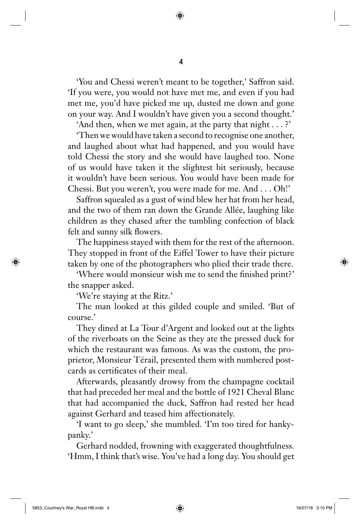**4**

◈

'You and Chessi weren't meant to be together,' Saffron said. 'If you were, you would not have met me, and even if you had met me, you'd have picked me up, dusted me down and gone on your way. And I wouldn't have given you a second thought.'

'And then, when we met again, at the party that night . . . ?'

'Then we would have taken a second to recognise one another, and laughed about what had happened, and you would have told Chessi the story and she would have laughed too. None of us would have taken it the slightest bit seriously, because it wouldn't have been serious. You would have been made for Chessi. But you weren't, you were made for me. And . . . Oh!'

Saffron squealed as a gust of wind blew her hat from her head, and the two of them ran down the Grande Allée, laughing like children as they chased after the tumbling confection of black felt and sunny silk flowers.

The happiness stayed with them for the rest of the afternoon. They stopped in front of the Eiffel Tower to have their picture taken by one of the photographers who plied their trade there.

'Where would monsieur wish me to send the finished print?' the snapper asked.

'We're staying at the Ritz.'

The man looked at this gilded couple and smiled. 'But of course.'

They dined at La Tour d'Argent and looked out at the lights of the riverboats on the Seine as they ate the pressed duck for which the restaurant was famous. As was the custom, the proprietor, Monsieur Térail, presented them with numbered postcards as certificates of their meal.

Afterwards, pleasantly drowsy from the champagne cocktail that had preceded her meal and the bottle of 1921 Cheval Blanc that had accompanied the duck, Saffron had rested her head against Gerhard and teased him affectionately.

'I want to go sleep,' she mumbled. 'I'm too tired for hankypanky.'

Gerhard nodded, frowning with exaggerated thoughtfulness. 'Hmm, I think that's wise. You've had a long day. You should get

5853\_Courtney's War\_Royal HB.indd 4 853\_Courtney's War\_Royal HB.indd 4 853\_Courtney's War\_Royal HB.indd 4

⊕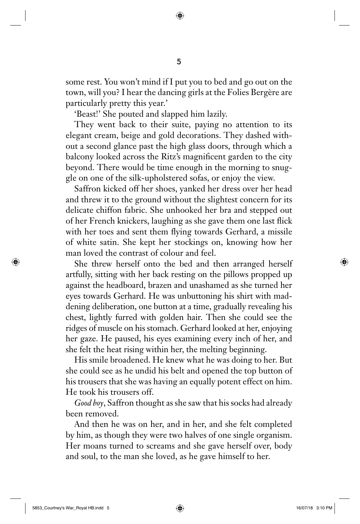**5**

◈

some rest. You won't mind if I put you to bed and go out on the town, will you? I hear the dancing girls at the Folies Bergère are particularly pretty this year.'

'Beast!' She pouted and slapped him lazily.

They went back to their suite, paying no attention to its elegant cream, beige and gold decorations. They dashed without a second glance past the high glass doors, through which a balcony looked across the Ritz's magnificent garden to the city beyond. There would be time enough in the morning to snuggle on one of the silk-upholstered sofas, or enjoy the view.

Saffron kicked off her shoes, yanked her dress over her head and threw it to the ground without the slightest concern for its delicate chiffon fabric. She unhooked her bra and stepped out of her French knickers, laughing as she gave them one last flick with her toes and sent them flying towards Gerhard, a missile of white satin. She kept her stockings on, knowing how her man loved the contrast of colour and feel.

She threw herself onto the bed and then arranged herself artfully, sitting with her back resting on the pillows propped up against the headboard, brazen and unashamed as she turned her eyes towards Gerhard. He was unbuttoning his shirt with maddening deliberation, one button at a time, gradually revealing his chest, lightly furred with golden hair. Then she could see the ridges of muscle on his stomach. Gerhard looked at her, enjoying her gaze. He paused, his eyes examining every inch of her, and she felt the heat rising within her, the melting beginning.

His smile broadened. He knew what he was doing to her. But she could see as he undid his belt and opened the top button of his trousers that she was having an equally potent effect on him. He took his trousers off.

*Good boy*, Saffron thought as she saw that his socks had already been removed.

And then he was on her, and in her, and she felt completed by him, as though they were two halves of one single organism. Her moans turned to screams and she gave herself over, body and soul, to the man she loved, as he gave himself to her.

5853\_Courtney's War\_Royal HB.indd 5 8553\_Courtney's War\_Royal HB.indd 5 853\_Courtney's War\_Royal HB.indd 5

⊕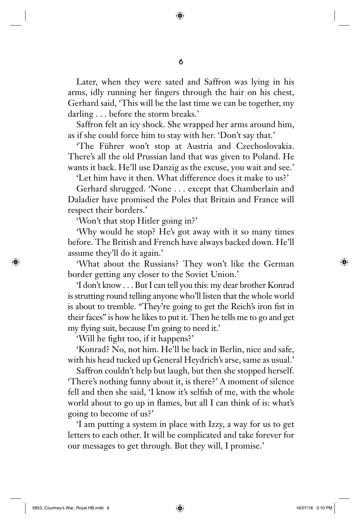Later, when they were sated and Saffron was lying in his arms, idly running her fingers through the hair on his chest, Gerhard said, 'This will be the last time we can be together, my darling . . . before the storm breaks.'

Saffron felt an icy shock. She wrapped her arms around him, as if she could force him to stay with her. 'Don't say that.'

'The Führer won't stop at Austria and Czechoslovakia. There's all the old Prussian land that was given to Poland. He wants it back. He'll use Danzig as the excuse, you wait and see.'

'Let him have it then. What difference does it make to us?'

Gerhard shrugged. 'None . . . except that Chamberlain and Daladier have promised the Poles that Britain and France will respect their borders.'

'Won't that stop Hitler going in?'

'Why would he stop? He's got away with it so many times before. The British and French have always backed down. He'll assume they'll do it again.'

'What about the Russians? They won't like the German border getting any closer to the Soviet Union.'

'I don't know . . . But I can tell you this: my dear brother Konrad is strutting round telling anyone who'll listen that the whole world is about to tremble. "They're going to get the Reich's iron fist in their faces" is how he likes to put it. Then he tells me to go and get my flying suit, because I'm going to need it.'

'Will he fight too, if it happens?'

'Konrad? No, not him. He'll be back in Berlin, nice and safe, with his head tucked up General Heydrich's arse, same as usual.'

Saffron couldn't help but laugh, but then she stopped herself. 'There's nothing funny about it, is there?' A moment of silence fell and then she said, 'I know it's selfish of me, with the whole world about to go up in flames, but all I can think of is: what's going to become of us?'

'I am putting a system in place with Izzy, a way for us to get letters to each other. It will be complicated and take forever for our messages to get through. But they will, I promise.'

⊕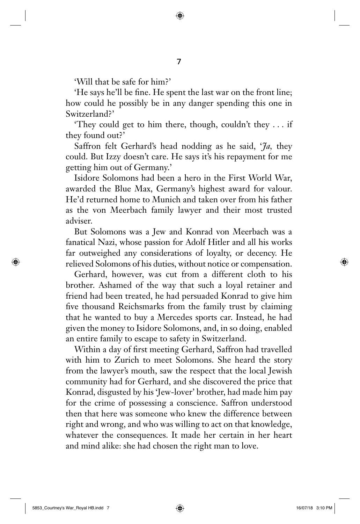**7**

◈

'Will that be safe for him?'

'He says he'll be fine. He spent the last war on the front line; how could he possibly be in any danger spending this one in Switzerland?'

'They could get to him there, though, couldn't they . . . if they found out?'

Saffron felt Gerhard's head nodding as he said, '*Ja,* they could. But Izzy doesn't care. He says it's his repayment for me getting him out of Germany.'

Isidore Solomons had been a hero in the First World War, awarded the Blue Max, Germany's highest award for valour. He'd returned home to Munich and taken over from his father as the von Meerbach family lawyer and their most trusted adviser.

But Solomons was a Jew and Konrad von Meerbach was a fanatical Nazi, whose passion for Adolf Hitler and all his works far outweighed any considerations of loyalty, or decency. He relieved Solomons of his duties, without notice or compensation.

Gerhard, however, was cut from a different cloth to his brother. Ashamed of the way that such a loyal retainer and friend had been treated, he had persuaded Konrad to give him five thousand Reichsmarks from the family trust by claiming that he wanted to buy a Mercedes sports car. Instead, he had given the money to Isidore Solomons, and, in so doing, enabled an entire family to escape to safety in Switzerland.

Within a day of first meeting Gerhard, Saffron had travelled with him to Zurich to meet Solomons. She heard the story from the lawyer's mouth, saw the respect that the local Jewish community had for Gerhard, and she discovered the price that Konrad, disgusted by his 'Jew-lover' brother, had made him pay for the crime of possessing a conscience. Saffron understood then that here was someone who knew the difference between right and wrong, and who was willing to act on that knowledge, whatever the consequences. It made her certain in her heart and mind alike: she had chosen the right man to love.

⊕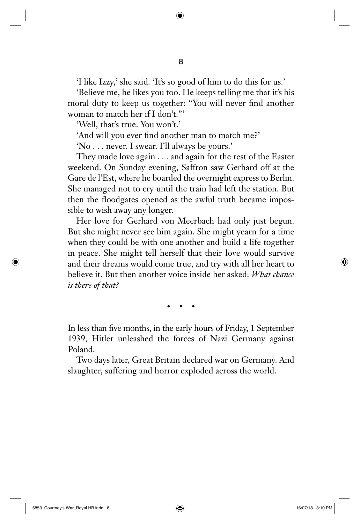**8**

◈

'I like Izzy,' she said. 'It's so good of him to do this for us.'

'Believe me, he likes you too. He keeps telling me that it's his moral duty to keep us together: "You will never find another woman to match her if I don't."

'Well, that's true. You won't.'

'And will you ever find another man to match me?'

'No . . . never. I swear. I'll always be yours.'

They made love again . . . and again for the rest of the Easter weekend. On Sunday evening, Saffron saw Gerhard off at the Gare de l'Est, where he boarded the overnight express to Berlin. She managed not to cry until the train had left the station. But then the floodgates opened as the awful truth became impossible to wish away any longer.

Her love for Gerhard von Meerbach had only just begun. But she might never see him again. She might yearn for a time when they could be with one another and build a life together in peace. She might tell herself that their love would survive and their dreams would come true, and try with all her heart to believe it. But then another voice inside her asked: *What chance is there of that?*

**• • •**

In less than five months, in the early hours of Friday, 1 September 1939, Hitler unleashed the forces of Nazi Germany against Poland.

Two days later, Great Britain declared war on Germany. And slaughter, suffering and horror exploded across the world.

⊕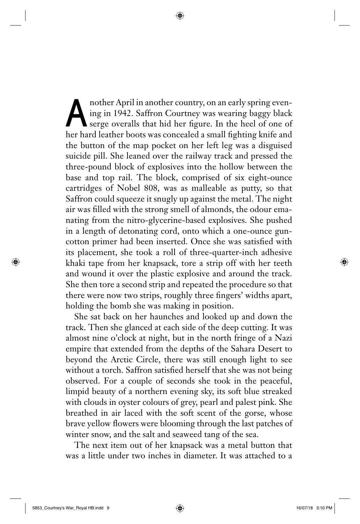**A**nother April in another country, on an early spring even-<br>ing in 1942. Saffron Courtney was wearing baggy black<br>serge overalls that hid her figure. In the heel of one of<br>her hard leather boots wes conceeled a small figh ing in 1942. Saffron Courtney was wearing baggy black serge overalls that hid her figure. In the heel of one of her hard leather boots was concealed a small fighting knife and the button of the map pocket on her left leg was a disguised suicide pill. She leaned over the railway track and pressed the three-pound block of explosives into the hollow between the base and top rail. The block, comprised of six eight-ounce cartridges of Nobel 808, was as malleable as putty, so that Saffron could squeeze it snugly up against the metal. The night air was filled with the strong smell of almonds, the odour emanating from the nitro-glycerine-based explosives. She pushed in a length of detonating cord, onto which a one-ounce guncotton primer had been inserted. Once she was satisfied with its placement, she took a roll of three-quarter-inch adhesive khaki tape from her knapsack, tore a strip off with her teeth and wound it over the plastic explosive and around the track. She then tore a second strip and repeated the procedure so that there were now two strips, roughly three fingers' widths apart, holding the bomb she was making in position.

◈

She sat back on her haunches and looked up and down the track. Then she glanced at each side of the deep cutting. It was almost nine o'clock at night, but in the north fringe of a Nazi empire that extended from the depths of the Sahara Desert to beyond the Arctic Circle, there was still enough light to see without a torch. Saffron satisfied herself that she was not being observed. For a couple of seconds she took in the peaceful, limpid beauty of a northern evening sky, its soft blue streaked with clouds in oyster colours of grey, pearl and palest pink. She breathed in air laced with the soft scent of the gorse, whose brave yellow flowers were blooming through the last patches of winter snow, and the salt and seaweed tang of the sea.

The next item out of her knapsack was a metal button that was a little under two inches in diameter. It was attached to a

5853\_Courtney's War\_Royal HB.indd 9 853\_Courtney's War\_Royal HB.indd 9 853\_Courtney's War\_Royal HB.indd 9

⊕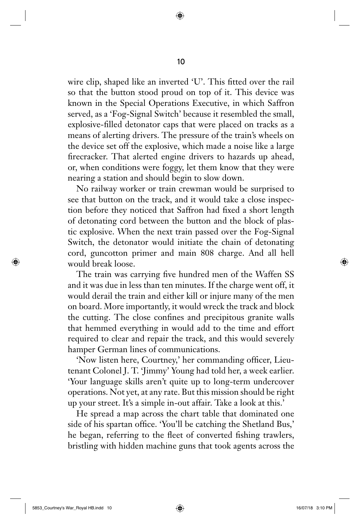wire clip, shaped like an inverted 'U'. This fitted over the rail so that the button stood proud on top of it. This device was known in the Special Operations Executive, in which Saffron served, as a 'Fog-Signal Switch' because it resembled the small, explosive-filled detonator caps that were placed on tracks as a means of alerting drivers. The pressure of the train's wheels on the device set off the explosive, which made a noise like a large firecracker. That alerted engine drivers to hazards up ahead, or, when conditions were foggy, let them know that they were nearing a station and should begin to slow down.

No railway worker or train crewman would be surprised to see that button on the track, and it would take a close inspection before they noticed that Saffron had fixed a short length of detonating cord between the button and the block of plastic explosive. When the next train passed over the Fog-Signal Switch, the detonator would initiate the chain of detonating cord, guncotton primer and main 808 charge. And all hell would break loose.

The train was carrying five hundred men of the Waffen SS and it was due in less than ten minutes. If the charge went off, it would derail the train and either kill or injure many of the men on board. More importantly, it would wreck the track and block the cutting. The close confines and precipitous granite walls that hemmed everything in would add to the time and effort required to clear and repair the track, and this would severely hamper German lines of communications.

'Now listen here, Courtney,' her commanding officer, Lieutenant Colonel J. T. 'Jimmy' Young had told her, a week earlier. 'Your language skills aren't quite up to long-term undercover operations. Not yet, at any rate. But this mission should be right up your street. It's a simple in-out affair. Take a look at this.'

He spread a map across the chart table that dominated one side of his spartan office. 'You'll be catching the Shetland Bus,' he began, referring to the fleet of converted fishing trawlers, bristling with hidden machine guns that took agents across the

◈

⊕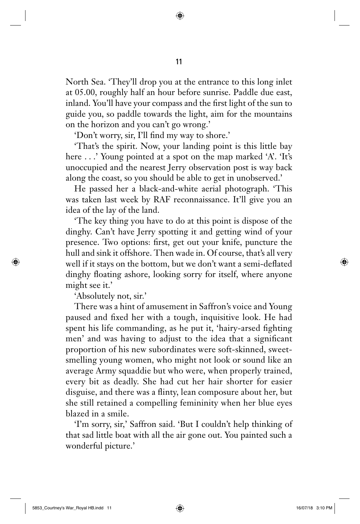North Sea. 'They'll drop you at the entrance to this long inlet at 05.00, roughly half an hour before sunrise. Paddle due east, inland. You'll have your compass and the first light of the sun to guide you, so paddle towards the light, aim for the mountains on the horizon and you can't go wrong.'

'Don't worry, sir, I'll find my way to shore.'

'That's the spirit. Now, your landing point is this little bay here ...' Young pointed at a spot on the map marked 'A'. 'It's unoccupied and the nearest Jerry observation post is way back along the coast, so you should be able to get in unobserved.'

He passed her a black-and-white aerial photograph. 'This was taken last week by RAF reconnaissance. It'll give you an idea of the lay of the land.

'The key thing you have to do at this point is dispose of the dinghy. Can't have Jerry spotting it and getting wind of your presence. Two options: first, get out your knife, puncture the hull and sink it offshore. Then wade in. Of course, that's all very well if it stays on the bottom, but we don't want a semi-deflated dinghy floating ashore, looking sorry for itself, where anyone might see it.'

'Absolutely not, sir.'

⊕

There was a hint of amusement in Saffron's voice and Young paused and fixed her with a tough, inquisitive look. He had spent his life commanding, as he put it, 'hairy-arsed fighting men' and was having to adjust to the idea that a significant proportion of his new subordinates were soft-skinned, sweetsmelling young women, who might not look or sound like an average Army squaddie but who were, when properly trained, every bit as deadly. She had cut her hair shorter for easier disguise, and there was a flinty, lean composure about her, but she still retained a compelling femininity when her blue eyes blazed in a smile.

'I'm sorry, sir,' Saffron said. 'But I couldn't help thinking of that sad little boat with all the air gone out. You painted such a wonderful picture.'

◈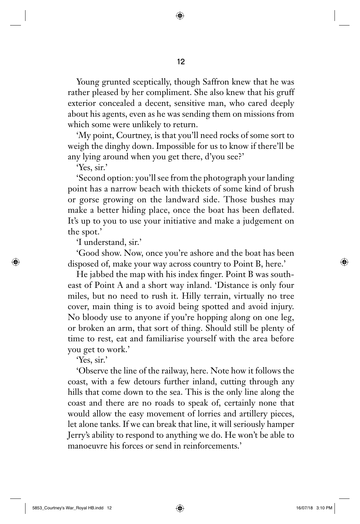Young grunted sceptically, though Saffron knew that he was rather pleased by her compliment. She also knew that his gruff exterior concealed a decent, sensitive man, who cared deeply about his agents, even as he was sending them on missions from which some were unlikely to return.

'My point, Courtney, is that you'll need rocks of some sort to weigh the dinghy down. Impossible for us to know if there'll be any lying around when you get there, d'you see?'

'Yes, sir.'

⊕

'Second option: you'll see from the photograph your landing point has a narrow beach with thickets of some kind of brush or gorse growing on the landward side. Those bushes may make a better hiding place, once the boat has been deflated. It's up to you to use your initiative and make a judgement on the spot.'

'I understand, sir.'

'Good show. Now, once you're ashore and the boat has been disposed of, make your way across country to Point B, here.'

He jabbed the map with his index finger. Point B was southeast of Point A and a short way inland. 'Distance is only four miles, but no need to rush it. Hilly terrain, virtually no tree cover, main thing is to avoid being spotted and avoid injury. No bloody use to anyone if you're hopping along on one leg, or broken an arm, that sort of thing. Should still be plenty of time to rest, eat and familiarise yourself with the area before you get to work.'

'Yes, sir.'

'Observe the line of the railway, here. Note how it follows the coast, with a few detours further inland, cutting through any hills that come down to the sea. This is the only line along the coast and there are no roads to speak of, certainly none that would allow the easy movement of lorries and artillery pieces, let alone tanks. If we can break that line, it will seriously hamper Jerry's ability to respond to anything we do. He won't be able to manoeuvre his forces or send in reinforcements.'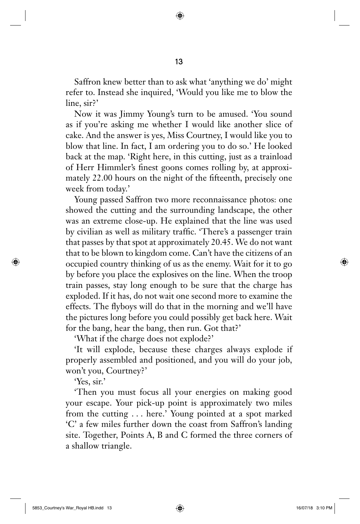Saffron knew better than to ask what 'anything we do' might refer to. Instead she inquired, 'Would you like me to blow the line, sir?'

Now it was Jimmy Young's turn to be amused. 'You sound as if you're asking me whether I would like another slice of cake. And the answer is yes, Miss Courtney, I would like you to blow that line. In fact, I am ordering you to do so.' He looked back at the map. 'Right here, in this cutting, just as a trainload of Herr Himmler's finest goons comes rolling by, at approximately 22.00 hours on the night of the fifteenth, precisely one week from today.'

Young passed Saffron two more reconnaissance photos: one showed the cutting and the surrounding landscape, the other was an extreme close-up. He explained that the line was used by civilian as well as military traffic. 'There's a passenger train that passes by that spot at approximately 20.45. We do not want that to be blown to kingdom come. Can't have the citizens of an occupied country thinking of us as the enemy. Wait for it to go by before you place the explosives on the line. When the troop train passes, stay long enough to be sure that the charge has exploded. If it has, do not wait one second more to examine the effects. The flyboys will do that in the morning and we'll have the pictures long before you could possibly get back here. Wait for the bang, hear the bang, then run. Got that?'

'What if the charge does not explode?'

'It will explode, because these charges always explode if properly assembled and positioned, and you will do your job, won't you, Courtney?'

'Yes, sir.'

⊕

'Then you must focus all your energies on making good your escape. Your pick-up point is approximately two miles from the cutting . . . here.' Young pointed at a spot marked 'C' a few miles further down the coast from Saffron's landing site. Together, Points A, B and C formed the three corners of a shallow triangle.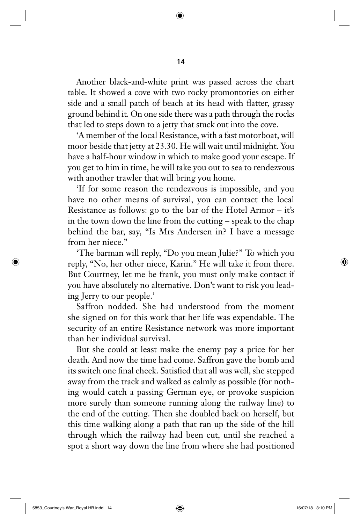Another black-and-white print was passed across the chart table. It showed a cove with two rocky promontories on either side and a small patch of beach at its head with flatter, grassy ground behind it. On one side there was a path through the rocks that led to steps down to a jetty that stuck out into the cove.

'A member of the local Resistance, with a fast motorboat, will moor beside that jetty at 23.30. He will wait until midnight. You have a half-hour window in which to make good your escape. If you get to him in time, he will take you out to sea to rendezvous with another trawler that will bring you home.

'If for some reason the rendezvous is impossible, and you have no other means of survival, you can contact the local Resistance as follows: go to the bar of the Hotel Armor – it's in the town down the line from the cutting – speak to the chap behind the bar, say, "Is Mrs Andersen in? I have a message from her niece."

'The barman will reply, "Do you mean Julie?" To which you reply, "No, her other niece, Karin." He will take it from there. But Courtney, let me be frank, you must only make contact if you have absolutely no alternative. Don't want to risk you leading Jerry to our people.'

Saffron nodded. She had understood from the moment she signed on for this work that her life was expendable. The security of an entire Resistance network was more important than her individual survival.

But she could at least make the enemy pay a price for her death. And now the time had come. Saffron gave the bomb and its switch one final check. Satisfied that all was well, she stepped away from the track and walked as calmly as possible (for nothing would catch a passing German eye, or provoke suspicion more surely than someone running along the railway line) to the end of the cutting. Then she doubled back on herself, but this time walking along a path that ran up the side of the hill through which the railway had been cut, until she reached a spot a short way down the line from where she had positioned

◈

⊕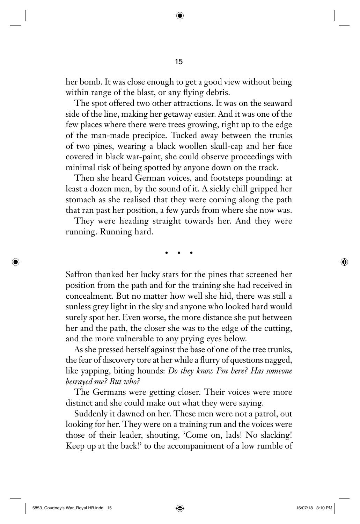her bomb. It was close enough to get a good view without being within range of the blast, or any flying debris.

The spot offered two other attractions. It was on the seaward side of the line, making her getaway easier. And it was one of the few places where there were trees growing, right up to the edge of the man-made precipice. Tucked away between the trunks of two pines, wearing a black woollen skull-cap and her face covered in black war-paint, she could observe proceedings with minimal risk of being spotted by anyone down on the track.

Then she heard German voices, and footsteps pounding: at least a dozen men, by the sound of it. A sickly chill gripped her stomach as she realised that they were coming along the path that ran past her position, a few yards from where she now was.

They were heading straight towards her. And they were running. Running hard.

**• • •**

Saffron thanked her lucky stars for the pines that screened her position from the path and for the training she had received in concealment. But no matter how well she hid, there was still a sunless grey light in the sky and anyone who looked hard would surely spot her. Even worse, the more distance she put between her and the path, the closer she was to the edge of the cutting, and the more vulnerable to any prying eyes below.

As she pressed herself against the base of one of the tree trunks, the fear of discovery tore at her while a flurry of questions nagged, like yapping, biting hounds: *Do they know I'm here? Has someone betrayed me? But who?*

The Germans were getting closer. Their voices were more distinct and she could make out what they were saying.

Suddenly it dawned on her. These men were not a patrol, out looking for her. They were on a training run and the voices were those of their leader, shouting, 'Come on, lads! No slacking! Keep up at the back!' to the accompaniment of a low rumble of

⊕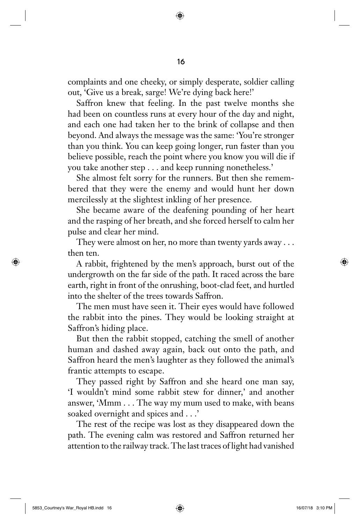complaints and one cheeky, or simply desperate, soldier calling out, 'Give us a break, sarge! We're dying back here!'

Saffron knew that feeling. In the past twelve months she had been on countless runs at every hour of the day and night, and each one had taken her to the brink of collapse and then beyond. And always the message was the same: 'You're stronger than you think. You can keep going longer, run faster than you believe possible, reach the point where you know you will die if you take another step . . . and keep running nonetheless.'

She almost felt sorry for the runners. But then she remembered that they were the enemy and would hunt her down mercilessly at the slightest inkling of her presence.

She became aware of the deafening pounding of her heart and the rasping of her breath, and she forced herself to calm her pulse and clear her mind.

They were almost on her, no more than twenty yards away . . . then ten.

A rabbit, frightened by the men's approach, burst out of the undergrowth on the far side of the path. It raced across the bare earth, right in front of the onrushing, boot-clad feet, and hurtled into the shelter of the trees towards Saffron.

The men must have seen it. Their eyes would have followed the rabbit into the pines. They would be looking straight at Saffron's hiding place.

But then the rabbit stopped, catching the smell of another human and dashed away again, back out onto the path, and Saffron heard the men's laughter as they followed the animal's frantic attempts to escape.

They passed right by Saffron and she heard one man say, 'I wouldn't mind some rabbit stew for dinner,' and another answer, 'Mmm . . . The way my mum used to make, with beans soaked overnight and spices and . . .'

The rest of the recipe was lost as they disappeared down the path. The evening calm was restored and Saffron returned her attention to the railway track. The last traces of light had vanished

⊕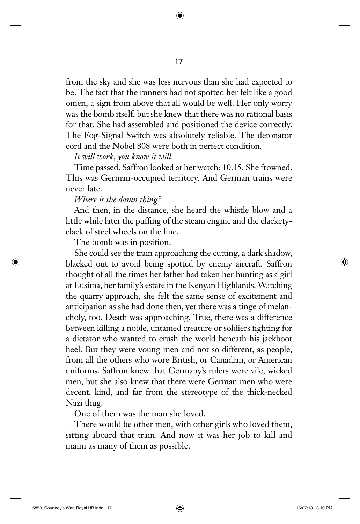from the sky and she was less nervous than she had expected to be. The fact that the runners had not spotted her felt like a good omen, a sign from above that all would be well. Her only worry was the bomb itself, but she knew that there was no rational basis for that. She had assembled and positioned the device correctly. The Fog-Signal Switch was absolutely reliable. The detonator cord and the Nobel 808 were both in perfect condition*.* 

## *It will work, you know it will.*

Time passed. Saffron looked at her watch: 10.15. She frowned. This was German-occupied territory. And German trains were never late.

## *Where is the damn thing?*

And then, in the distance, she heard the whistle blow and a little while later the puffing of the steam engine and the clacketyclack of steel wheels on the line.

The bomb was in position.

She could see the train approaching the cutting, a dark shadow, blacked out to avoid being spotted by enemy aircraft. Saffron thought of all the times her father had taken her hunting as a girl at Lusima, her family's estate in the Kenyan Highlands. Watching the quarry approach, she felt the same sense of excitement and anticipation as she had done then, yet there was a tinge of melancholy, too. Death was approaching. True, there was a difference between killing a noble, untamed creature or soldiers fighting for a dictator who wanted to crush the world beneath his jackboot heel. But they were young men and not so different, as people, from all the others who wore British, or Canadian, or American uniforms. Saffron knew that Germany's rulers were vile, wicked men, but she also knew that there were German men who were decent, kind, and far from the stereotype of the thick-necked Nazi thug.

One of them was the man she loved.

There would be other men, with other girls who loved them, sitting aboard that train. And now it was her job to kill and maim as many of them as possible.

◈

⊕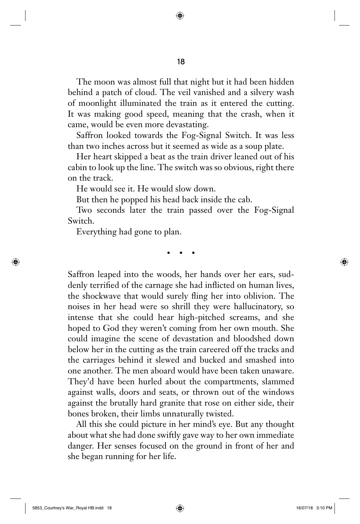The moon was almost full that night but it had been hidden behind a patch of cloud. The veil vanished and a silvery wash of moonlight illuminated the train as it entered the cutting. It was making good speed, meaning that the crash, when it came, would be even more devastating.

Saffron looked towards the Fog-Signal Switch. It was less than two inches across but it seemed as wide as a soup plate.

Her heart skipped a beat as the train driver leaned out of his cabin to look up the line. The switch was so obvious, right there on the track.

He would see it. He would slow down.

But then he popped his head back inside the cab.

Two seconds later the train passed over the Fog-Signal Switch.

Everything had gone to plan.

**• • •**

Saffron leaped into the woods, her hands over her ears, suddenly terrified of the carnage she had inflicted on human lives, the shockwave that would surely fling her into oblivion. The noises in her head were so shrill they were hallucinatory, so intense that she could hear high-pitched screams, and she hoped to God they weren't coming from her own mouth. She could imagine the scene of devastation and bloodshed down below her in the cutting as the train careered off the tracks and the carriages behind it slewed and bucked and smashed into one another. The men aboard would have been taken unaware. They'd have been hurled about the compartments, slammed against walls, doors and seats, or thrown out of the windows against the brutally hard granite that rose on either side, their bones broken, their limbs unnaturally twisted.

All this she could picture in her mind's eye. But any thought about what she had done swiftly gave way to her own immediate danger. Her senses focused on the ground in front of her and she began running for her life.

5853\_Courtney's War\_Royal HB.indd 18 853\_Courtney's War\_Royal HB.indd 18 853\_Courtney's War\_Royal HB.indd 18

⊕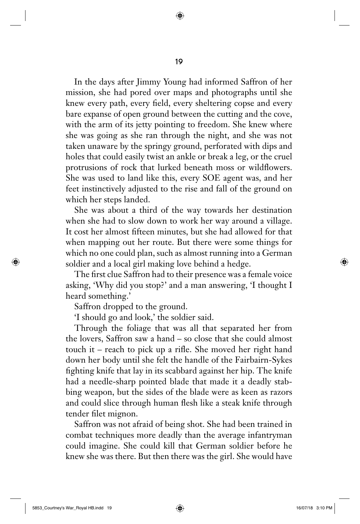In the days after Jimmy Young had informed Saffron of her mission, she had pored over maps and photographs until she knew every path, every field, every sheltering copse and every bare expanse of open ground between the cutting and the cove, with the arm of its jetty pointing to freedom. She knew where she was going as she ran through the night, and she was not taken unaware by the springy ground, perforated with dips and holes that could easily twist an ankle or break a leg, or the cruel protrusions of rock that lurked beneath moss or wildflowers. She was used to land like this, every SOE agent was, and her feet instinctively adjusted to the rise and fall of the ground on which her steps landed.

She was about a third of the way towards her destination when she had to slow down to work her way around a village. It cost her almost fifteen minutes, but she had allowed for that when mapping out her route. But there were some things for which no one could plan, such as almost running into a German soldier and a local girl making love behind a hedge.

The first clue Saffron had to their presence was a female voice asking, 'Why did you stop?' and a man answering, 'I thought I heard something.'

Saffron dropped to the ground.

'I should go and look,' the soldier said.

Through the foliage that was all that separated her from the lovers, Saffron saw a hand – so close that she could almost touch it – reach to pick up a rifle. She moved her right hand down her body until she felt the handle of the Fairbairn-Sykes fighting knife that lay in its scabbard against her hip. The knife had a needle-sharp pointed blade that made it a deadly stabbing weapon, but the sides of the blade were as keen as razors and could slice through human flesh like a steak knife through tender filet mignon.

Saffron was not afraid of being shot. She had been trained in combat techniques more deadly than the average infantryman could imagine. She could kill that German soldier before he knew she was there. But then there was the girl. She would have

⊕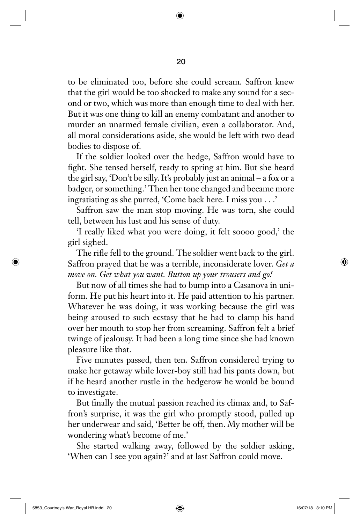to be eliminated too, before she could scream. Saffron knew that the girl would be too shocked to make any sound for a second or two, which was more than enough time to deal with her. But it was one thing to kill an enemy combatant and another to murder an unarmed female civilian, even a collaborator. And, all moral considerations aside, she would be left with two dead bodies to dispose of.

If the soldier looked over the hedge, Saffron would have to fight. She tensed herself, ready to spring at him. But she heard the girl say, 'Don't be silly. It's probably just an animal – a fox or a badger, or something.' Then her tone changed and became more ingratiating as she purred, 'Come back here. I miss you . . .'

Saffron saw the man stop moving. He was torn, she could tell, between his lust and his sense of duty.

'I really liked what you were doing, it felt soooo good,' the girl sighed.

The rifle fell to the ground. The soldier went back to the girl. Saffron prayed that he was a terrible, inconsiderate lover. *Get a move on. Get what you want. Button up your trousers and go!*

But now of all times she had to bump into a Casanova in uniform. He put his heart into it. He paid attention to his partner. Whatever he was doing, it was working because the girl was being aroused to such ecstasy that he had to clamp his hand over her mouth to stop her from screaming. Saffron felt a brief twinge of jealousy. It had been a long time since she had known pleasure like that.

Five minutes passed, then ten. Saffron considered trying to make her getaway while lover-boy still had his pants down, but if he heard another rustle in the hedgerow he would be bound to investigate.

But finally the mutual passion reached its climax and, to Saffron's surprise, it was the girl who promptly stood, pulled up her underwear and said, 'Better be off, then. My mother will be wondering what's become of me.'

She started walking away, followed by the soldier asking, 'When can I see you again?' and at last Saffron could move.

**20**

◈

⊕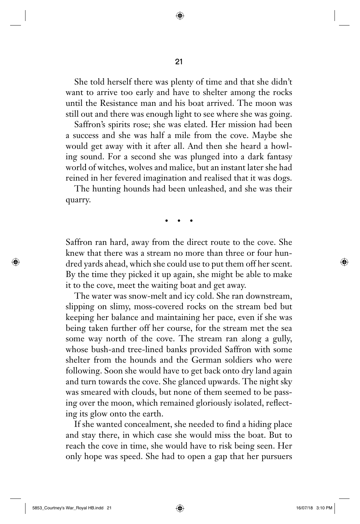She told herself there was plenty of time and that she didn't want to arrive too early and have to shelter among the rocks until the Resistance man and his boat arrived. The moon was still out and there was enough light to see where she was going.

Saffron's spirits rose; she was elated. Her mission had been a success and she was half a mile from the cove. Maybe she would get away with it after all. And then she heard a howling sound. For a second she was plunged into a dark fantasy world of witches, wolves and malice, but an instant later she had reined in her fevered imagination and realised that it was dogs.

The hunting hounds had been unleashed, and she was their quarry.

**• • •**

Saffron ran hard, away from the direct route to the cove. She knew that there was a stream no more than three or four hundred yards ahead, which she could use to put them off her scent. By the time they picked it up again, she might be able to make it to the cove, meet the waiting boat and get away.

The water was snow-melt and icy cold. She ran downstream, slipping on slimy, moss-covered rocks on the stream bed but keeping her balance and maintaining her pace, even if she was being taken further off her course, for the stream met the sea some way north of the cove. The stream ran along a gully, whose bush-and tree-lined banks provided Saffron with some shelter from the hounds and the German soldiers who were following. Soon she would have to get back onto dry land again and turn towards the cove. She glanced upwards. The night sky was smeared with clouds, but none of them seemed to be passing over the moon, which remained gloriously isolated, reflecting its glow onto the earth.

If she wanted concealment, she needed to find a hiding place and stay there, in which case she would miss the boat. But to reach the cove in time, she would have to risk being seen. Her only hope was speed. She had to open a gap that her pursuers

**21**

◈

⊕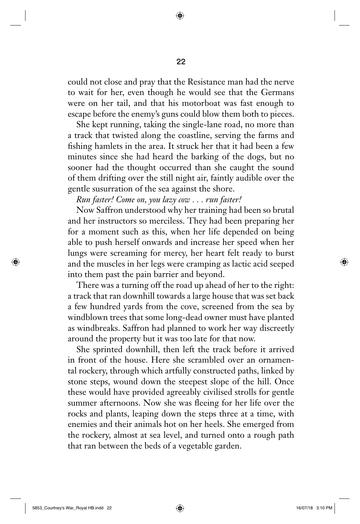could not close and pray that the Resistance man had the nerve to wait for her, even though he would see that the Germans were on her tail, and that his motorboat was fast enough to escape before the enemy's guns could blow them both to pieces.

She kept running, taking the single-lane road, no more than a track that twisted along the coastline, serving the farms and fishing hamlets in the area. It struck her that it had been a few minutes since she had heard the barking of the dogs, but no sooner had the thought occurred than she caught the sound of them drifting over the still night air, faintly audible over the gentle susurration of the sea against the shore.

*Run faster! Come on, you lazy cow . . . run faster!*

Now Saffron understood why her training had been so brutal and her instructors so merciless. They had been preparing her for a moment such as this, when her life depended on being able to push herself onwards and increase her speed when her lungs were screaming for mercy, her heart felt ready to burst and the muscles in her legs were cramping as lactic acid seeped into them past the pain barrier and beyond.

There was a turning off the road up ahead of her to the right: a track that ran downhill towards a large house that was set back a few hundred yards from the cove, screened from the sea by windblown trees that some long-dead owner must have planted as windbreaks. Saffron had planned to work her way discreetly around the property but it was too late for that now.

She sprinted downhill, then left the track before it arrived in front of the house. Here she scrambled over an ornamental rockery, through which artfully constructed paths, linked by stone steps, wound down the steepest slope of the hill. Once these would have provided agreeably civilised strolls for gentle summer afternoons. Now she was fleeing for her life over the rocks and plants, leaping down the steps three at a time, with enemies and their animals hot on her heels. She emerged from the rockery, almost at sea level, and turned onto a rough path that ran between the beds of a vegetable garden.

◈

⊕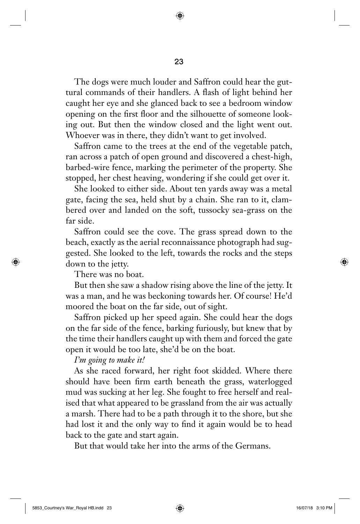The dogs were much louder and Saffron could hear the guttural commands of their handlers. A flash of light behind her caught her eye and she glanced back to see a bedroom window opening on the first floor and the silhouette of someone looking out. But then the window closed and the light went out. Whoever was in there, they didn't want to get involved.

Saffron came to the trees at the end of the vegetable patch, ran across a patch of open ground and discovered a chest-high, barbed-wire fence, marking the perimeter of the property. She stopped, her chest heaving, wondering if she could get over it.

She looked to either side. About ten yards away was a metal gate, facing the sea, held shut by a chain. She ran to it, clambered over and landed on the soft, tussocky sea-grass on the far side.

Saffron could see the cove. The grass spread down to the beach, exactly as the aerial reconnaissance photograph had suggested. She looked to the left, towards the rocks and the steps down to the jetty.

There was no boat.

⊕

But then she saw a shadow rising above the line of the jetty. It was a man, and he was beckoning towards her. Of course! He'd moored the boat on the far side, out of sight.

Saffron picked up her speed again. She could hear the dogs on the far side of the fence, barking furiously, but knew that by the time their handlers caught up with them and forced the gate open it would be too late, she'd be on the boat.

## *I'm going to make it!*

As she raced forward, her right foot skidded. Where there should have been firm earth beneath the grass, waterlogged mud was sucking at her leg. She fought to free herself and realised that what appeared to be grassland from the air was actually a marsh. There had to be a path through it to the shore, but she had lost it and the only way to find it again would be to head back to the gate and start again.

But that would take her into the arms of the Germans.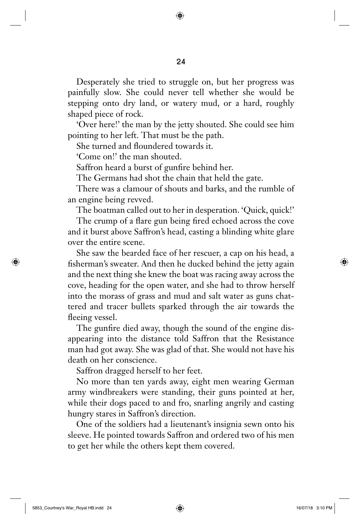Desperately she tried to struggle on, but her progress was painfully slow. She could never tell whether she would be stepping onto dry land, or watery mud, or a hard, roughly shaped piece of rock.

'Over here!' the man by the jetty shouted. She could see him pointing to her left. That must be the path.

She turned and floundered towards it.

'Come on!' the man shouted.

Saffron heard a burst of gunfire behind her.

The Germans had shot the chain that held the gate.

There was a clamour of shouts and barks, and the rumble of an engine being revved.

The boatman called out to her in desperation. 'Quick, quick!'

The crump of a flare gun being fired echoed across the cove and it burst above Saffron's head, casting a blinding white glare over the entire scene.

She saw the bearded face of her rescuer, a cap on his head, a fisherman's sweater. And then he ducked behind the jetty again and the next thing she knew the boat was racing away across the cove, heading for the open water, and she had to throw herself into the morass of grass and mud and salt water as guns chattered and tracer bullets sparked through the air towards the fleeing vessel.

The gunfire died away, though the sound of the engine disappearing into the distance told Saffron that the Resistance man had got away. She was glad of that. She would not have his death on her conscience.

Saffron dragged herself to her feet.

No more than ten yards away, eight men wearing German army windbreakers were standing, their guns pointed at her, while their dogs paced to and fro, snarling angrily and casting hungry stares in Saffron's direction.

One of the soldiers had a lieutenant's insignia sewn onto his sleeve. He pointed towards Saffron and ordered two of his men to get her while the others kept them covered.

⊕